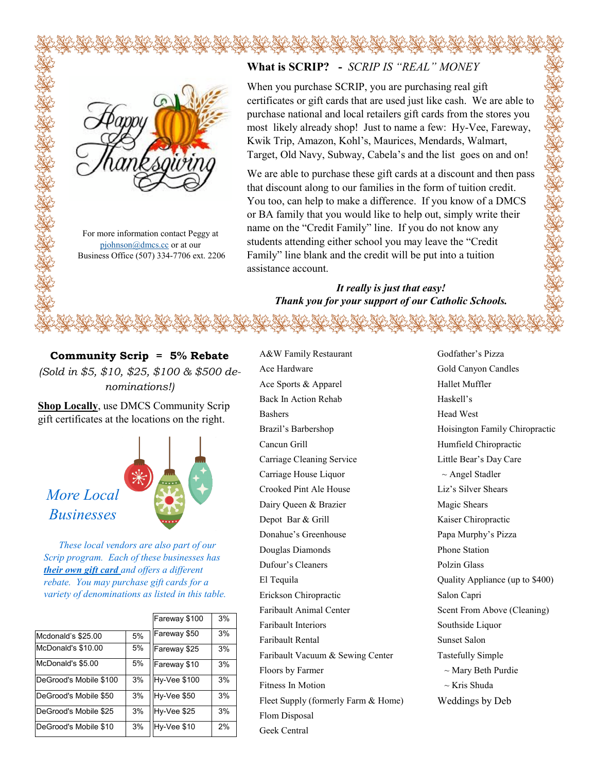

For more information contact Peggy at [pjohnson@dmcs.cc](mailto:pjohnson@divinemercy.cc) or at our Business Office (507) 334-7706 ext. 2206

## **What is SCRIP? -** *SCRIP IS "REAL" MONEY*

When you purchase SCRIP, you are purchasing real gift certificates or gift cards that are used just like cash. We are able to purchase national and local retailers gift cards from the stores you most likely already shop! Just to name a few: Hy-Vee, Fareway, Kwik Trip, Amazon, Kohl's, Maurices, Mendards, Walmart, Target, Old Navy, Subway, Cabela's and the list goes on and on!

We are able to purchase these gift cards at a discount and then pass that discount along to our families in the form of tuition credit. You too, can help to make a difference. If you know of a DMCS or BA family that you would like to help out, simply write their name on the "Credit Family" line. If you do not know any students attending either school you may leave the "Credit Family" line blank and the credit will be put into a tuition assistance account.

## *It really is just that easy! Thank you for your support of our Catholic Schools.*

**Community Scrip = 5% Rebate** *(Sold in \$5, \$10, \$25, \$100 & \$500 denominations!)*

**Shop Locally**, use DMCS Community Scrip gift certificates at the locations on the right.



 *These local vendors are also part of our Scrip program. Each of these businesses has their own gift card and offers a different rebate. You may purchase gift cards for a variety of denominations as listed in this table.*

|                        |    | Fareway \$100       | 3% |
|------------------------|----|---------------------|----|
| Mcdonald's \$25.00     | 5% | Fareway \$50        | 3% |
| McDonald's \$10.00     | 5% | Fareway \$25        | 3% |
| McDonald's \$5.00      | 5% | Fareway \$10        | 3% |
| DeGrood's Mobile \$100 | 3% | <b>Hy-Vee \$100</b> | 3% |
| DeGrood's Mobile \$50  | 3% | Hy-Vee \$50         | 3% |
| DeGrood's Mobile \$25  | 3% | Hy-Vee \$25         | 3% |
| DeGrood's Mobile \$10  | 3% | Hy-Vee \$10         | 2% |

A&W Family Restaurant Ace Hardware Ace Sports & Apparel Back In Action Rehab Bashers Brazil's Barbershop Cancun Grill Carriage Cleaning Service Carriage House Liquor Crooked Pint Ale House Dairy Queen & Brazier Depot Bar & Grill Donahue's Greenhouse Douglas Diamonds Dufour's Cleaners El Tequila Erickson Chiropractic Faribault Animal Center Faribault Interiors Faribault Rental Faribault Vacuum & Sewing Center Floors by Farmer Fitness In Motion Fleet Supply (formerly Farm & Home) Flom Disposal Geek Central

Godfather's Pizza Gold Canyon Candles Hallet Muffler Haskell's Head West Hoisington Family Chiropractic Humfield Chiropractic Little Bear's Day Care  $\sim$  Angel Stadler Liz's Silver Shears Magic Shears Kaiser Chiropractic Papa Murphy's Pizza Phone Station Polzin Glass Quality Appliance (up to \$400) Salon Capri Scent From Above (Cleaning) Southside Liquor Sunset Salon Tastefully Simple ~ Mary Beth Purdie ~ Kris Shuda Weddings by Deb